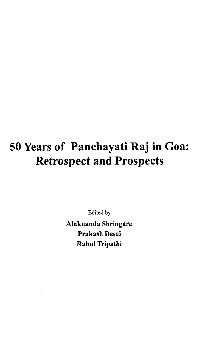# **50 Years of Panchayati Raj in Goa: Retrospect and Prospects**

Edited by

Alaknanda Shringare Prakash Desai Rahul Tripathi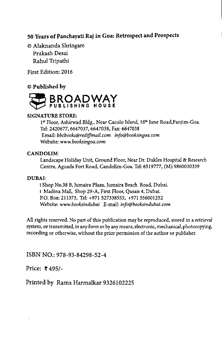#### 50 Years of Panchayati Raj in Goa: Retrospect and Prospects

© AJaknanda Shringare Prakash Desai Rahul Tripathi

First Edition: 2016

#### © Published by



#### SIGNATURE STORE:

1<sup>st</sup> Floor, Ashirwad Bldg., Near Caculo Island, 18<sup>th</sup> June Road, Panjim-Goa. Tel: 2420677, 6647037, 6647038, Fax: 6647038 Email: *[bbcbooks@rediffmail.com](mailto:bbcbooks@rediffmail.com) [info@booksingoa.com](mailto:info@booksingoa.com)* Website: *[www.booksingoa.com](http://www.booksingoa.com)*

#### CANDOLIM:

Landscape Holiday Unit, Ground Floor, Near Dr. Dukles Hospital & Research Centre, Aguada Fort Road, Candolim-Goa. Tel: 6519777, (M) 9860030339

#### DUBAI:

1 Shop No.38 B, Jumaira Plaza, Jumaira Beach Road, Dubai. 1 Madina Mall, Shop 29-A, First Floor, Qusais 4, Dubai. P.O. Box: 211373, Tel: +971 527338555, +971 556001252 Website: *[www.booksindubai](http://www.booksindubai)* E-mail: *[info@booksindubai.com](mailto:info@booksindubai.com)*

All rights reserved. No part of this publication may be reproduced, stored in a retrieval system, or transmitted, in any form or by any means, electronic, mechanical, photocopying, recording or otherwise, without the prior permission of the author or publisher.

ISBN NO.: 978-93-84298-52-4

Price: ₹495/-

Printed by Rama Harmalkar 9326102225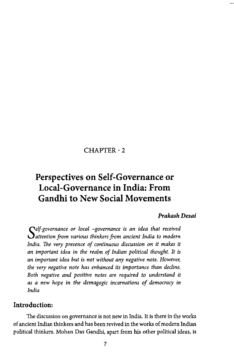## **CHAPTER - 2**

# **Perspectives on Self-Governance or Local-Governance in India: From Gandhi to New Social Movements**

#### *Prakash Desai*

*S attention from various thinkers from ancient India to modern elf-governance or local -governance is an idea that received India. The very presence of continuous discussion on it makes it an important idea in the realm of Indian political thought. It is an important idea but is not without any negative note. However, the very negative note has enhanced its importance than decline. Both negative and positive notes are required to understand it as a new hope in the demagogic incarnations of democracy in India*

#### Introduction:

The discussion on governance is not new in India. It is there in the works of ancient Indian thinkers and has been revived in the works of modern Indian political thinkers. Mohan Das Gandhi, apart from his other political ideas, is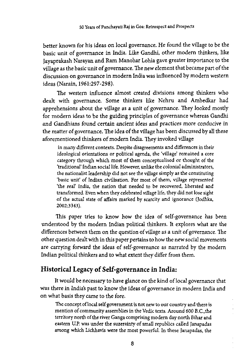better known for his ideas on local governance. He found the village to be the basic unit of governance in India. Like Gandhi, other modern thinkers, like Jayaprakash Narayan and Ram Manohar Lohia gave greater importance to the village as the basic unit of governance. The new element that became part of the discussion on governance in modern India was influenced by modern western ideas (Narain, 1961:297-298).

The western influence almost created divisions among thinkers who dealt with governance. Some thinkers like Nehru and Ambedkar had apprehensions about the village as a unit of governance. They looked mostly for modern ideas to be the guiding principles of governance whereas Gandhi and Gandhians found certain ancient ideas and practices more conducive in the matter of governance. The idea of the village has been discussed by all these aforementioned thinkers of modern India. They invoked village

in many different contexts. Despite disagreements and differences in their ideological orientations or political agenda, the 'village' remained a core category through which most of them conceptualised or thought of the 'traditional' Indian social life. However, unlike the colonial administrators, the nationalist leadership did not see the village simply as the constituting 'basic unit' of Indian civilisation. For most of them, village represented 'the real' India, the nation that needed to be recovered, liberated and transformed. Even when they celebrated village life, they did not lose sight of the actual state of affairs marked by scarcity and ignorance (Jodhka, 2002:3343).

This paper tries to know how the idea of self-governance has been understood by the modern Indian political thinkers. It explores what are the differences between them on the question of village as a unit of governance. The other question dealt with in this paper pertains to how the new social movements are carrying forward the ideas of self-governance as narrated by the modern Indian political thinkers and to what extent they differ from them.

# Historical Legacy of Self-governance in India:

It would be necessary to have glance on the kind of local governance that was there in India's past to know the ideas of governance in modern India and on what basis they came to the fore.

The concept of local self government is not new to our country and there is mention of community assemblies in the Vedic texts. Around 600 B.C.,the territory north of the river Ganga comprising modern day north Bihar and eastern U.P. was under the suzerainty of small republics called Janapadas among which Lichhavis were the most powerful. In these Janapadas, the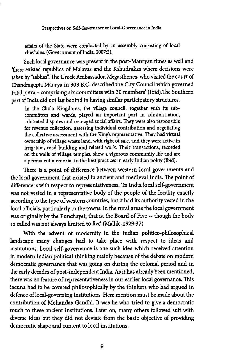affairs of the State were conducted by an assembly consisting of local chieftains, (Government of India, 2007:2).

Such local governance was present in the post-Mauryan times as well and 'there existed republics of Malavas and the Kshudrakas where decisions were taken by "sabhas" The Greek Ambassador, Megasthenes, who visited the court of Chandragupta Maurya in 303 B.C, described the City Council which governed Pataliputra - comprising six committees with 30 members' (Ibid).The Southern part of India did not lag behind in having similar participatory structures.

In the Chola Kingdoms, the village council, together with its subcommittees and wards, played an important part in administration, arbitrated disputes and managed social affairs. They were also responsible for revenue collection, assessing individual contribution and negotiating the collective assessment with the King's representative. They had virtual ownership of village waste land, with right of sale, and they were active in irrigation, road building and related work. Their transactions, recorded on the walls of village temples, show a vigorous community life and are a permanent memorial to the best practices in early Indian polity (Ibid).

There is a point of difference between western local governments and the local government that existed in ancient and medieval India. The point of difference is with respect to representativeness. 'In India local self-government was not vested in a representative body of the people of the locality exactly according to the type of western countries, but it had its authority vested in the local officials, particularly in the towns. In the rural areas the local government was originally by the Punchayet, that is, the Board of Five — though the body so called was not always limited to five' (Mallik ,1929:37)

With the advent of modernity in the Indian politico-philosophical landscape many changes had to take place with respect to ideas and institutions. Local self-governance is one such idea which received attention in modern Indian political thinking mainly because of the debate on modern democratic governance that was going on during the colonial period and in the early decades of post-independent India. As it has already been mentioned, there was no feature of representativeness in our earlier local governance. This lacuna had to be covered philosophically by the thinkers who had argued in defence of local-governing institutions. Here mention must be made about the contribution of Mohandas Gandhi. It was he who tried to give a democratic touch to these ancient institutions. Later on, many others followed suit with diverse ideas but they did not deviate from the basic objective of providing democratic shape and content to local institutions.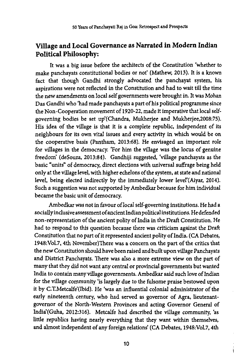# Village and Local Governance as Narrated in Modern Indian Political Philosophy:

It was a big issue before the architects of the Constitution 'whether to make panchayats constitutional bodies or not' (Mathew, 2013). It is a known fact that though Gandhi strongly advocated the panchayat system, his aspirations were not reflected in the Constitution and had to wait till the time the new amendments on local self governments were brought in. It was Mohan Das Gandhi who 'had made panchayats a part of his political programme since the Non-Cooperation movement of 1920-22, made it imperative that local selfgoverning bodies be set up'(Chandra, Mukherjee and Mukherjee,2008:75). His idea of the village is that it is a complete republic, independent of its neighbours for its own vital issues and every activity in which would be on the cooperative basis (Pantham, 2013:68). He envisaged an important role for villages in the democracy. 'For him the village was the locus of genuine freedom' (deSouza, 2013:84). Gandhiji suggested, 'village panchayats as the basic "units" of democracy, direct elections with universal suffrage being held only at the village level, with higher echelons of the system, at state and national level, being elected indirectly by the immediately lower Ievel'(Aiyar, 2014). Such a suggestion was not supported by Ambedkar because for him individual became the basic unit of democracy.

Ambedkar was not in favour of local self-governing institutions. He had a socially inclusive assessment of ancient Indian political institutions. He defended non-representation of the ancient polity of India in the Draft Constitution. He had to respond to this question because there was criticism against the Draft Constitution that no part of it represented ancient polity of India. (CA Debates, I948:VoL7,4th November)There was a concern on the part of the critics that the new Constitution should have been raised and built upon village Panchayats and District Panchayats. 'Ihere was also a more extreme view on the part of many that they did not want any central or provincial governments but wanted India to contain many village governments. Ambedkar said such love of Indian for the village community 'is largely due to the fulsome praise bestowed upon it by C.T.Metcalfe'(Ibid). He 'was an influential colonial administrator of the early nineteenth century, who had served as governor of Agra, lieutenantgovernor of the North-Western Provinces and acting Governor General of India'(Guha, 2012:316). Metcalfe had described the village community, 'as little republics having nearly everything that they want within themselves, and almost independent of any foreign relations' (CA Debates, 1948:VoI.7,4th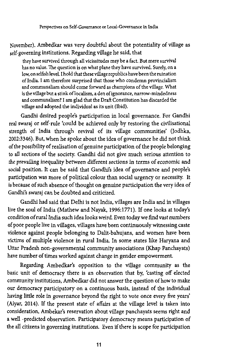November). Ambedkar was very doubtful about the potentiality of village as self-governing institutions. Regarding village he said, that

they have survived through all vicissitudes may be a fact. But mere survival has no value. The question is on what plane they have survived. Surely, on a low, on selfish level. I hold that these village republics have been the ruination of India. I am therefore surprised that those who condemn provincialism and communalism should come forward as champions of the village. What is the village but a stink of localism, a den of ignorance, narrow-mindedness and communalism? I am glad that the Draft Constitution has discarded the village and adopted the individual as its unit (Ibid).

Gandhi desired people's participation in local governance. For Gandhi real swaraj or self-rule 'could be achieved only by restoring the civilisational strength of India through revival of its village communities' (Jodhka, 2002:3346). But, when he spoke about the idea of governance he did not think of the possibility of realisation of genuine participation of the people belonging to all sections of the society Gandhi did not give much serious attention to the prevailing inequality between different sections in terms of economic and social position. It can be said that Gandhi's idea of governance and people's participation was more of political colour than social urgency or necessity. It is because of such absence of thought on genuine participation the very idea of Gandhi's swaraj can be doubted and criticized.

Gandhi had said that Delhi is not India, villages are India and in villages live the soul of India (Mathew and Nayak, 1996:1771). If one looks at today's condition of rural India such idea looks weird. Even today we find vast numbers of poor people live in villages, villages have been continuously witnessing caste violence against people belonging to Dalit-bahujans, and women have been victims of multiple violence in rural India. In some states like Haryana and Uttar Pradesh non-governmental community associations (Khap Panchayats) have number of times worked against change in gender empowerment.

Regarding Ambedkar's opposition to the village community as the basic unit of democracy there is an observation that by, 'casting off elected community institutions, Ambedkar did not answer the question of how to make our democracy participatory on a continuous basis, instead of the individual having little role in governance beyond the right to vote once every five years' (Aiyar, 2014). If the present state of affairs at the village level is taken into consideration, Ambekar's reservation about village panchayats seems right and a well -predicted observation. Participatory democracy means participation of the all citizens in governing institutions. Even if there is scope for participation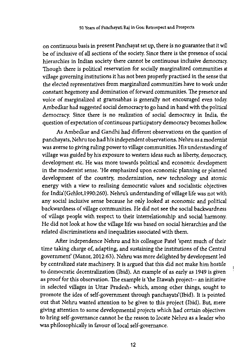on continuous basis in present Panchayat set up, there is no guarantee that it will be of inclusive of all sections of the society. Since there is the presence of social hierarchies in Indian society there cannot be continuous inclusive democracy. Though there is political reservation for socially marginalized communities at village governing institutions it has not been properly practised in the sense that the elected representatives from marginalized communities have to work under constant hegemony and domination of forward communities. The presence and voice of marginalized at gramsabhas is generally not encouraged even today Ambedkar had suggested social democracy to go hand in hand with the political democracy. Since there is no realization of social democracy in India, the question of expectation of continuous participatory democracy becomes hollow.

As Ambedkar and Gandhi had different observations on the question of panchayats, Nehru too had his independent observations. Nehru as a modernist was averse to giving ruling power to village communities. His understanding of village was guided by his exposure to western ideas such as liberty, democracy, development etc. He was more towards political and economic development in the modernist sense. 'He emphasized upon economic planning or planned development of the country, modernization, new technology and atomic energy with a view to realising democratic values and socialistic objectives for India (Gehlot, 1990:260). Nehru's understanding of village life was not with any social inclusive sense because he only looked at economic and political backwardness of village communities. He did not see the social backwardness of village people with respect to their interrelationship and social harmony. He did not look at how the village life was based on social hierarchies and the related discriminations and inequalities associated with them.

After independence Nehru and his colleague Patel 'spent much of their time taking charge of, adapting, and sustaining the institutions of the Central government' (Manor, 2012:63). Nehru was more delighted by development led by centralized state machinery. It is argued that this did not make him hostile to democratic decentralization (Ibid). An example of as early as 1949 is given as proof for this observation. The example is 'the Etawah project-- an initiative in selected villages in Uttar Pradesh- which, among other things, sought to promote the idea of self-government through panchayats'(Ibid). It is pointed out that Nehru wanted attention to be given to this project (Ibid). But, mere giving attention to some developmental projects which had certain objectives to bring self-governance cannot be the reason to locate Nehru as a leader who was philosophically in favour of local self-governance.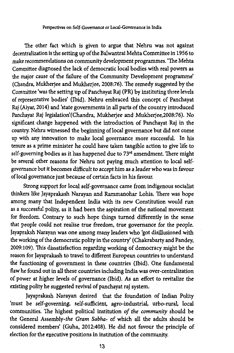#### Perspectives on Self-Governance or Local-Governance in India

The other fact which is given to argue that Nehru was not against decentralization is the setting up of the Balwantrai Mehta Committee in 1956 to make recommendations on community development programmes. 'The Mehta Committee diagnosed the lack of democratic local bodies with real powers as the major cause of the failure of the Community Development programme' (Chandra, Mukherjee and Mukherjee, 2008:76). The remedy suggested by the Committee 'was the setting up of Panchayat Raj (PR) by instituting three levels of representative bodies' (Ibid). Nehru embraced this concept of Panchayat Raj (Aiyar, 2014) and 'state governments in all parts of the country introduced Panchayat Raj legislation'(Chandra, Mukherjee and Mukherjee}2008:76). No significant change happened with the introduction of Panchayat Raj in the country. Nehru witnessed the beginning of local governance but did not come up with any innovation to make local governance more successful. In his tenure as a prime minister he could have taken tangible action to give life to self-governing bodies as it has happened due to 73<sup>rd</sup> amendment. There might be several other reasons for Nehru not paying much attention to local selfgovernance but it *becomes* difficult to accept him as a leader who was in favour of local governance just because of certain facts in his favour.

Strong support for local self-governance came from indigenous socialist thinkers like Jayaprakash Narayan and Rammanohar Lohia. There was hope among many that Independent India with its new Constitution would run as a successful polity, as it had been the aspiration of the national movement for freedom. Contrary to such hope things turned differently in the sense that people could not realise true freedom, true governance for the people. Jayapraksh Narayan was one among many leaders who 'got disillusioned with the working of the democratic polity in the country' (Chakrabarty and Pandey, 2009:109). This dissatisfaction regarding working of democracy might be the reason for Jayaprakash to travel to different European countries to understand the functioning of government in these countries (Ibid). One fundamental flaw he found out in all these countries including India was over-centralization of power at higher levels of governance (Ibid). As an effort to revitalize the existing polity he suggested revival of panchayat raj system.

Jayaprakash Narayan desired that the foundation of Indian Polity 'must be self-governing, self-sufficient, agro-industrial, urbo-rural, local communities. The highest political institution *of the community* should be the General Assembly-the *Gram Sahha-* of which all the adults should be considered members' (Guha, 2012:408), He did not favour the principle of election for the executive positions in institution of the community.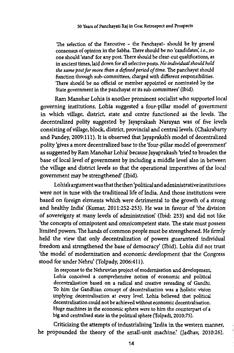The selection of the Executive - the Panchayat- should be by general consensus of opinion in the Sabha. There should be no 'candidates', *i.e.,* no one should 'stand' for any post. There should be clear-cut qualifications, as in ancient times, laid down for all selective posts. *No individual should hold the same post for more than a defined period of time,* The panchayat should function through sub-committees, charged with different responsibilities. There should be no official or member appointed or nominated by the State government in the panchayat or its sub-committees' (Ibid).

Ram Manohar Lohia is another prominent socialist who supported local governing institutions. Lohia suggested a four-pillar model of government in which village, district, state and centre functioned as the levels. The decentralized polity suggested by Jayaprakash Narayan was of five levels consisting of village, block, district, provincial and central levels. (Chakrabarty and Pandey, 2009:111). It is observed that Jayapraksh's model of decentralized polity 'gives a more decentralized base to the 'four-pillar model of government' as suggested by Ram Manohar Lohia' because Jayaprakash 'tried to broaden the base of local level of government by including a middle level also in between the village and district levels so that the operational imperatives of the local government maybe strengthened' (Ibid).

Lohia's argument was that the then 'political and administrative institutions were not in tune with the traditional life of India. And those institutions were based on foreign elements which were detrimental to the growth of a strong and healthy India' (Kumar, 2011:252-253). He was in favour of 'the division of sovereignty at many Levels of administration' (Ibid: 253) and did not like 'the concepts of omnipotent and omnicompetent state. The state must possess limited powers. The hands of common people must be strengthened. He firmly held the view that only decentralization of powers guaranteed individual freedom and strengthened the base of democracy' (Ibid). Lohia did not trust 'the model of modernization and economic development that the Congress stood for under Nehru' (Tolpady, 2006:411).

In response to the Nehruvian project of modernisation and development, Lohia conceived a comprehensive notion of economic and political decentralisation based on a radical and creative rereading of Gandhi. To him the Gandhian concept of decentralisation was a holistic vision implying decentralisation at every level. Lohia believed that political decentralisation could not be achieved without economic decentralisation. Huge machines in the economic sphere were to him the counterpart of a big and centralised state in the political sphere (Tolpadi, 2010:75).

Criticizing the attempts of industrialising 'India in the western manner, he propounded the theory of the small-unit machine' (Jadhav, 2010:26).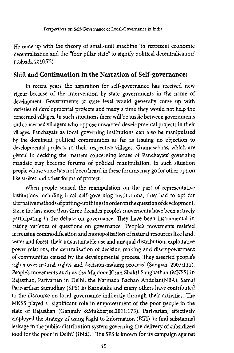He came up with the theory of small-unit machine 'to represent economic decentralisation and the "four pillar state" to signify political decentralisation' (Tolpadi, 2010:75)

## Shift and Continuation in the Narration of Self-governance:

In recent years the aspiration for self-governance has received new vigour because of the intervention by state governments in the name of development. Governments at state level would generally come up with varieties of developmental projects and many a time they would not help the concerned villages. In such situations there will be tussle between governments and concerned villagers who oppose unwanted developmental projects in their villages. Panchayats as local governing institutions can also be manipulated by the dominant political communities as far as issuing no objection to developmental projects in their respective villages. Gramasabhas, which are pivotal in deciding the matters concerning issues of Panchayats' governing mandate may become forums of political manipulation. In such situation people whose voice has not been heard in these forums may go for other option like strikes and other forms of protest.

When people sensed the manipulation on the part of representative institutions including local self-governing institutions, they had to opt for alternativemethodsofputting-up things in order on thequestionofdevelopment. Since the last more than three decades people's movements have been actively participating in the debate on governance. They have been instrumental in raising varieties of questions on governance. 'People's movements resisted increasing commodification and monopolisation of natural resources like land, water and forest, their unsustainable use and unequal distribution, exploitative power relations, the centralisation of decision-making and disempowerment of communities caused by the developmental process. They asserted people's rights over natural rights and decision-making process' (Sangvai, 2007:111). People's movements such as the Majdoor Kisan Shakti Sanghathan (MKSS) in Rajasthan, Parivartan in Delhi, the Narmada Bachao Andolan(NBA), Samaj Parivarthan Samudhay (SPS) in Karnataka and many others have contributed to the discourse on local governance indirectly through their activities. The MKSS played a significant role in empowerment of the poor people in the state of Rajasthan (Ganguly &Mukherjee,2011:173). Parivartan, effectively employed the strategy of using Right to Information (RTI) 'to find substantial leakage in the public-distribution system governing the delivery of subsidized food for the poor in Delhi' (Ibid). The SPS is known for its campaign against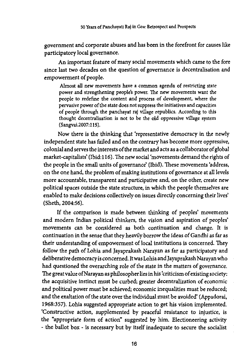government and corporate abuses and has been in the forefront for causes like participatory local governance.

An important feature of many social movements which came to the fore since last two decades on the question of governance is decentralisation and empowerment of people.

Almost all new movements have a common agenda of restricting state power and strengthening peoples power. The new movements want the people to redefine the content and process of development, where the pervasive power of the state does not suppress the initiatives and capacities of people through the panchayat raj village republics. According to this thought decentralisation is not to be the old oppressive village system (Sangvai.2007:115).

Now there is the thinking that 'representative democracy in the newly independent state has failed and on the contrary has become more oppressive, colonial and serves the interests of the market and acts as a collaborator of global market-capitalists' (Ibid: 116). The new social 'movements demand the rights of the people in the small units of governance' (Ibid). These movements 'address, on the one hand, the problem of making institutions of governance at all levels more accountable, transparent and participative and, on the other, create new political spaces outside the state structure, in which the people themselves are enabled to make decisions collectively on issues directly concerning their lives' (Sheth, 2004:56).

If the comparison is made between thinking of peoples' movements and modern Indian political thinkers, the vision and aspiration of peoples' movements can be considered as both continuation and change. It is continuation in the sense that they heavily borrow the ideas of Gandhi as far as their understanding of empowerment of local institutions is concerned. They follow the path of Lohia and Jayaprakash Narayan as far as participatory and deliberative democracy is concerned. It was Lohia and Jayaprakash Narayan who had questioned the overarching role of the state in the matters of governance. The great value of Narayan as philosopher lies in his 'criticism of existing society: the acquisitive instinct must be curbed; greater decentralization of economic and political power must be achieved; economic inequalities must be reduced; and the exaltation of the state over the individual must be avoided' (Appadorai, 1968:357). Lohia suggested appropriate action to get his vision implemented. 'Constructive action, supplemented by peaceful resistance to injustice, is the "appropriate form of action" suggested by him. Electioneering activity - the ballot box - is necessary but by itself inadequate to secure the socialist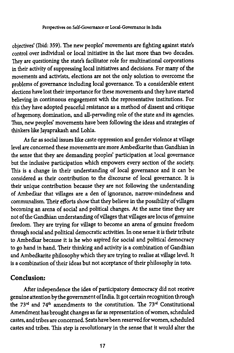objectives' (Ibid: 359). The new peoples' movements are fighting against state's control over individual or local initiative in the last more than two decades. They are questioning the state's facilitator role for multinational corporations in their activity of suppressing local initiatives and decisions. For many of the movements and activists, elections are not the only solution to overcome the problems of governance including local governance. To a considerable extent elections have lost their importance for these movements and they have started believing in continuous engagement with the representative institutions. For this they have adopted peaceful resistance as a method of dissent and critique of hegemony, domination, and all-pervading role of the state and its agencies. Thus, new peoples' movements have been following the ideas and strategies of thinkers like Jayaprakash and Lohia.

As far as social issues like caste oppression and gender violence at village level are concerned these movements are more Ambedkarite than Gandhian in the sense that they are demanding peoples' participation at local governance but the inclusive participation which empowers every section of the society. This is a change in their understanding of local governance and it can be considered as their contribution to the discourse of local governance. It is their unique contribution because they are not following the understanding of Ambedkar that villages are a den of ignorance, narrow-mindedness and communalism. Their efforts show that they believe in the possibility of villages becoming an arena of social and political changes. At the same time they are not of the Gandhian understanding of villages that villages are locus of genuine freedom. They are trying for village to become an arena of genuine freedom through social and political democratic activities. In one sense it is their tribute to Ambedkar because it is he who aspired for social and political democracy to go hand in hand. Their thinking and activity is a combination of Gandhian and Ambedkarite philosophy which they are trying to realise at village level. It is a combination of their ideas but not acceptance of their philosophy in toto.

#### Conclusion:

After independence the idea of participatory democracy did not receive genuine attention by the government of India. It got certain recognition through the 73<sup>rd</sup> and 74<sup>th</sup> amendments to the constitution. The 73<sup>rd</sup> Constitutional Amendment has brought changes as far as representation of women, scheduled castes, and tribes are concerned. Seats have been reserved for women, scheduled castes and tribes. This step is revolutionary in the sense that it would alter the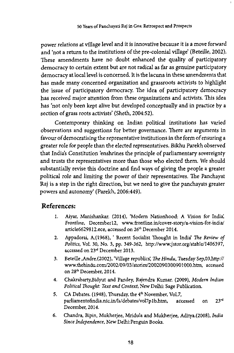power relations at village level and it is innovative because it is a move forward and 'not a return to the institutions of the pre-colonial village' (Beteille, 2002). These amendments have no doubt enhanced the quality of participatory democracy to certain extent but are not radical as far as genuine participatory democracy at local level is concerned. It is the lacuna in these amendments that has made many concerned organization and grassroots activists to highlight the issue of participatory democracy. The idea of participatory democracy has received major attention from these organizations and activists. This idea has 'not only been kept alive but developed conceptually and in practice by a section of grass roots activists' (Sheth, 2004:52).

Contemporary thinking on Indian political institutions has varied observations and suggestions for better governance. There are arguments in favour of democratising the representative institutions in the form of ensuring a greater role for people than the elected representatives. Bikhu Parekh observed that India's Constitution 'enshrines the principle of parliamentary sovereignty and trusts the representatives more than those who elected them. We should substantially revise this doctrine and find ways of giving the people a greater political role and limiting the power of their representatives. The Panchayat Raj is a step in the right direction, but we need to give the panchayats greater powers and autonomy' (Parekh, 2006:449).

# References:

- 1. Aiyar, Manishankar. (2014), 'Modern Nationhood: A Vision for India', *Frontline,* Decemberl2, www. frontline .in/cover- story/a-vision-for- india/ article6629812,ece, accessed on 26\* December 2014.
- 2. Appadorai, A.(1968), 1 Recent Socialist Thought in India' *The Review of Politics,* Vol. 30, No. 3, pp. 349-362, [http://www.jstor.org/stable/1406397,](http://www.jstor.org/stable/1406397) accessed on 23<sup>rd</sup> December 2013.
- 3. Beteille,Andre.(2002), 'Village republics' *The Hindu*, Tuesday Sep,03,http:// [www.thehindu.eom/2002/09/03/stories/2002090300901000.htm,](http://www.thehindu.eom/2002/09/03/stories/2002090300901000.htm) accessed on 28\* December, 2014.
- 4. Chakrabarty.Bidyut and Pandey, Rajendra Kumar. (2009), *Modern Indian Political Thought: Text and Context,* New Delhi: Sage Publication.
- 5. CA Debates. (1948), Thursday, the 4\* November, Vol.7, parliamentofindia.nic.in/ls/debates/vol7plb.htm, accessed on 23rd December, 2014.
- 6. Chandra, Bipin, Mukherjee, Mridula and Mukherjee, Aditya.(2008), *India Since Independence,* New Delhi.Penguin Books.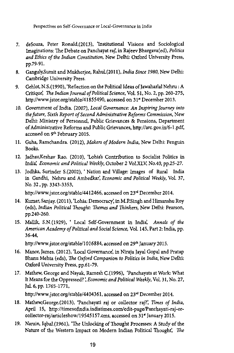- 7. deSouza, Peter Ronald. (2013), 'Institutional Visions and Sociological Imaginations: The Debate on Panchayat raj', in Rajeev Bhargava(ed), *Politics and Ethics of the Indian Constitution,* New Delhi: Oxford University Press, pp.79-91.
- 8. Ganguly,Sumit and Mukherjee, Rahul(2011), *India Since 1980,* New Delhi: Cambridge University Press.
- 9. Gehlot, N.S.(1990), 'Reflection on the Political Ideas of Jawaharlal Nehru: A Critique', *The Indian Journal of Political Science,* Vol. 51, No. 2, pp. 260-275, <http://www.jstor.org/stable/4l855490>, accessed on 31" December 2013.
- 10. Government of India. (2007), *Local Governance*: *An Inspiring Journey into the future, Sixth Report of Second Administrative Reforms Commission,* New Delhi: Ministry of Personnel, Public Grievances & Pensions, Department of Administrative Reforms and Public Grievances,<http://arc.gov.in/6-l> .pdf, accessed on 9th February 2015.
- 11. Guha, Ramchandra. (2012), *Makers of Modern India,* New Delhi: Penguin Books.
- 12. Jadhav,Keshav Rao. (2010), 'Lohia's Contribution to Socialist Politics in India^ *Economic and Political Weekly,* October 2 *Vol.XLV,* No.40, pp.25-27,
- 13. Jodhka, Surinder S.(2002), ' Nation and Village: Images of Rural India in Gandhi, Nehru and Ambedkar', *Economic and Political Weekly,* Vol. 37, No. 32, pp. 3343-3353,

[http://www.jstor.org/stable/4412466,](http://www.jstor.org/stable/4412466) accessed on *23rd* December 2014.

- 14. Kumar, Sanjay. (2011), 'Lohia: Democracy', in M.P.Singh and Himanshu Roy (eds), *Indian Political Thought: Themes and Thinkers,* New Delhi: Pearson, pp.240-260.
- 15. Mallik, S.N.(1929), ' Local Self-Government in India^ *Annals of the American Academy of Political and Social Science,* Vol. 145, Part 2: India, pp. 36-44,

<http://www.jstor.org/stable/1016884>, accessed on 29<sup>th</sup> January 2015.

- 16. Manor, James. (2012), 'Local Governance', in Niraja Jayal Gopal and Pratap Bhanu Mehta (eds), *The Oxford Companion to Politics in India,* New Delhi: Oxford University Press, pp.61-79.
- 17. Mathew, George and Nayak, Ramesh C.(1996), 'Panchayats at Work: What It Means for the Oppressed? ', *Economic and Political Weekly,* Vol. 31, No. 27, JuL 6, pp. 1765-1771,

[http://www.jstor.org/stable/4404361,](http://www.jstor.org/stable/4404361) accessed on 23rd December 2014.

- 18. Mathew,George.(2013), 'Panchayati raj or collector raj?', *Times of India,* April 15, [http://timesofindia.indiatimes.com/edit-page/Panchayati-raj-or](http://timesofindia.indiatimes.com/edit-page/Panchayati-raj-or-collector-raj/articleshow/19545157.cms)[collector-raj/articleshow/19545157.cms,](http://timesofindia.indiatimes.com/edit-page/Panchayati-raj-or-collector-raj/articleshow/19545157.cms) accessed on 31\* January 2015.
- 19. Narain, Iqbal. (1961), 'The Unlocking of Thought Processes: A Study of the Nature of the Western Impact on Modern Indian Political Thought', *The*